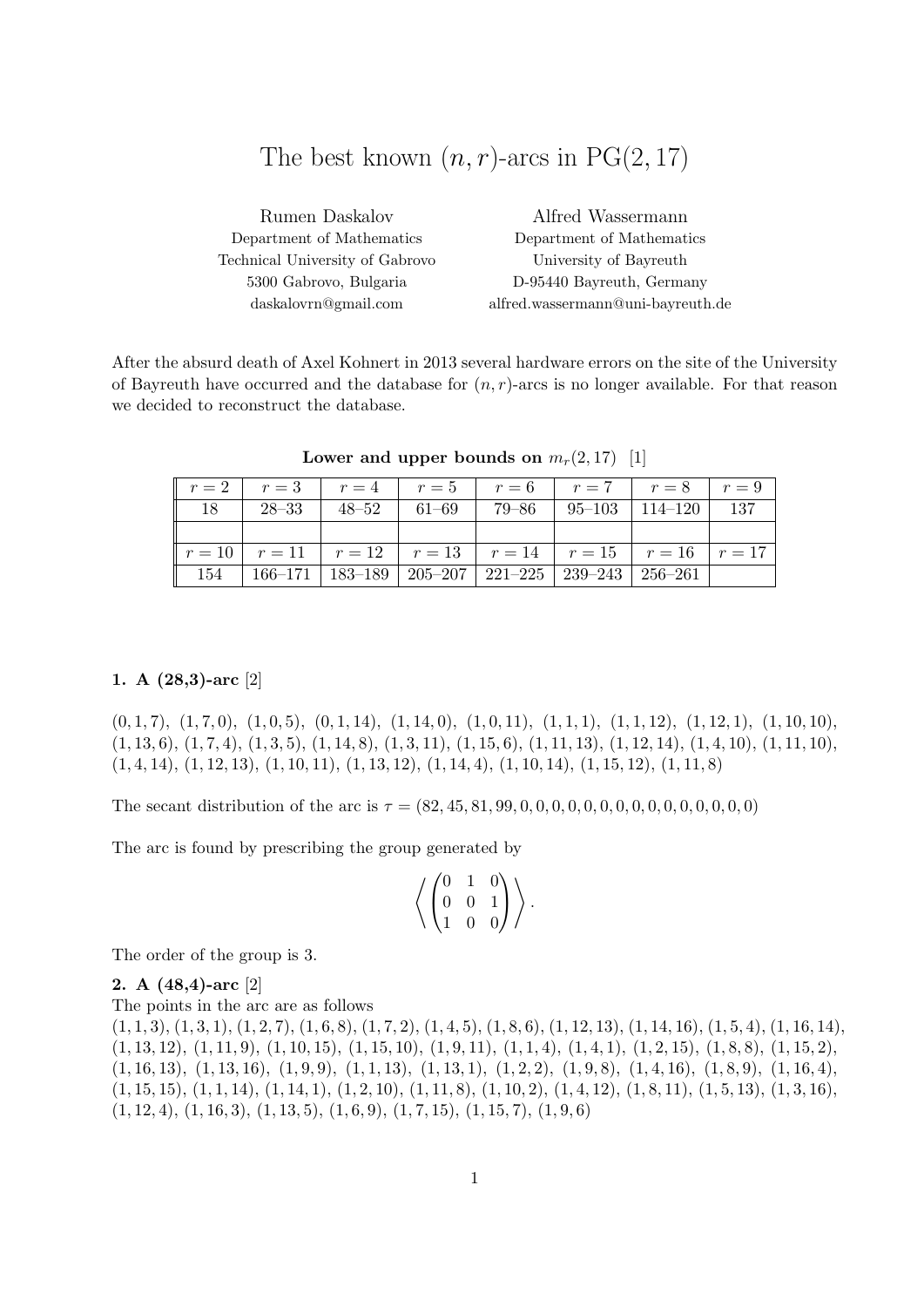# The best known  $(n, r)$ -arcs in PG $(2, 17)$

| Rumen Daskalov                  | Alfred Wassermann                 |
|---------------------------------|-----------------------------------|
| Department of Mathematics       | Department of Mathematics         |
| Technical University of Gabrovo | University of Bayreuth            |
| 5300 Gabrovo, Bulgaria          | D-95440 Bayreuth, Germany         |
| daskalovrn@gmail.com            | alfred.wassermann@uni-bayreuth.de |

After the absurd death of Axel Kohnert in 2013 several hardware errors on the site of the University of Bayreuth have occurred and the database for  $(n, r)$ -arcs is no longer available. For that reason we decided to reconstruct the database.

| $r = 2$ $r = 3$ $r = 4$ $r = 5$ $r = 6$ $r = 7$ $r = 8$ $r = 9$             |  |  |  |
|-----------------------------------------------------------------------------|--|--|--|
| $18$   $28-33$   $48-52$   $61-69$   $79-86$   $95-103$   $114-120$   $137$ |  |  |  |
|                                                                             |  |  |  |
| $r = 10$ $r = 11$ $r = 12$ $r = 13$ $r = 14$ $r = 15$ $r = 16$ $r = 17$     |  |  |  |
| 154   166-171   183-189   205-207   221-225   239-243   256-261             |  |  |  |

Lower and upper bounds on  $m_r(2, 17)$  [1]

#### 1. A (28,3)-arc [2]

 $(0, 1, 7), (1, 7, 0), (1, 0, 5), (0, 1, 14), (1, 14, 0), (1, 0, 11), (1, 1, 1), (1, 1, 12), (1, 12, 1), (1, 10, 10),$  $(1, 13, 6), (1, 7, 4), (1, 3, 5), (1, 14, 8), (1, 3, 11), (1, 15, 6), (1, 11, 13), (1, 12, 14), (1, 4, 10), (1, 11, 10),$  $(1, 4, 14), (1, 12, 13), (1, 10, 11), (1, 13, 12), (1, 14, 4), (1, 10, 14), (1, 15, 12), (1, 11, 8)$ 

The secant distribution of the arc is τ = (82, 45, 81, 99, 0, 0, 0, 0, 0, 0, 0, 0, 0, 0, 0, 0, 0, 0, 0)

The arc is found by prescribing the group generated by

$$
\left\langle \begin{pmatrix} 0 & 1 & 0 \\ 0 & 0 & 1 \\ 1 & 0 & 0 \end{pmatrix} \right\rangle.
$$

The order of the group is 3.

#### 2. A (48,4)-arc [2]

The points in the arc are as follows  $(1, 1, 3), (1, 3, 1), (1, 2, 7), (1, 6, 8), (1, 7, 2), (1, 4, 5), (1, 8, 6), (1, 12, 13), (1, 14, 16), (1, 5, 4), (1, 16, 14),$  $(1, 13, 12), (1, 11, 9), (1, 10, 15), (1, 15, 10), (1, 9, 11), (1, 1, 4), (1, 4, 1), (1, 2, 15), (1, 8, 8), (1, 15, 2),$  $(1, 16, 13), (1, 13, 16), (1, 9, 9), (1, 1, 13), (1, 13, 1), (1, 2, 2), (1, 9, 8), (1, 4, 16), (1, 8, 9), (1, 16, 4),$  $(1, 15, 15), (1, 1, 14), (1, 14, 1), (1, 2, 10), (1, 11, 8), (1, 10, 2), (1, 4, 12), (1, 8, 11), (1, 5, 13), (1, 3, 16),$  $(1, 12, 4), (1, 16, 3), (1, 13, 5), (1, 6, 9), (1, 7, 15), (1, 15, 7), (1, 9, 6)$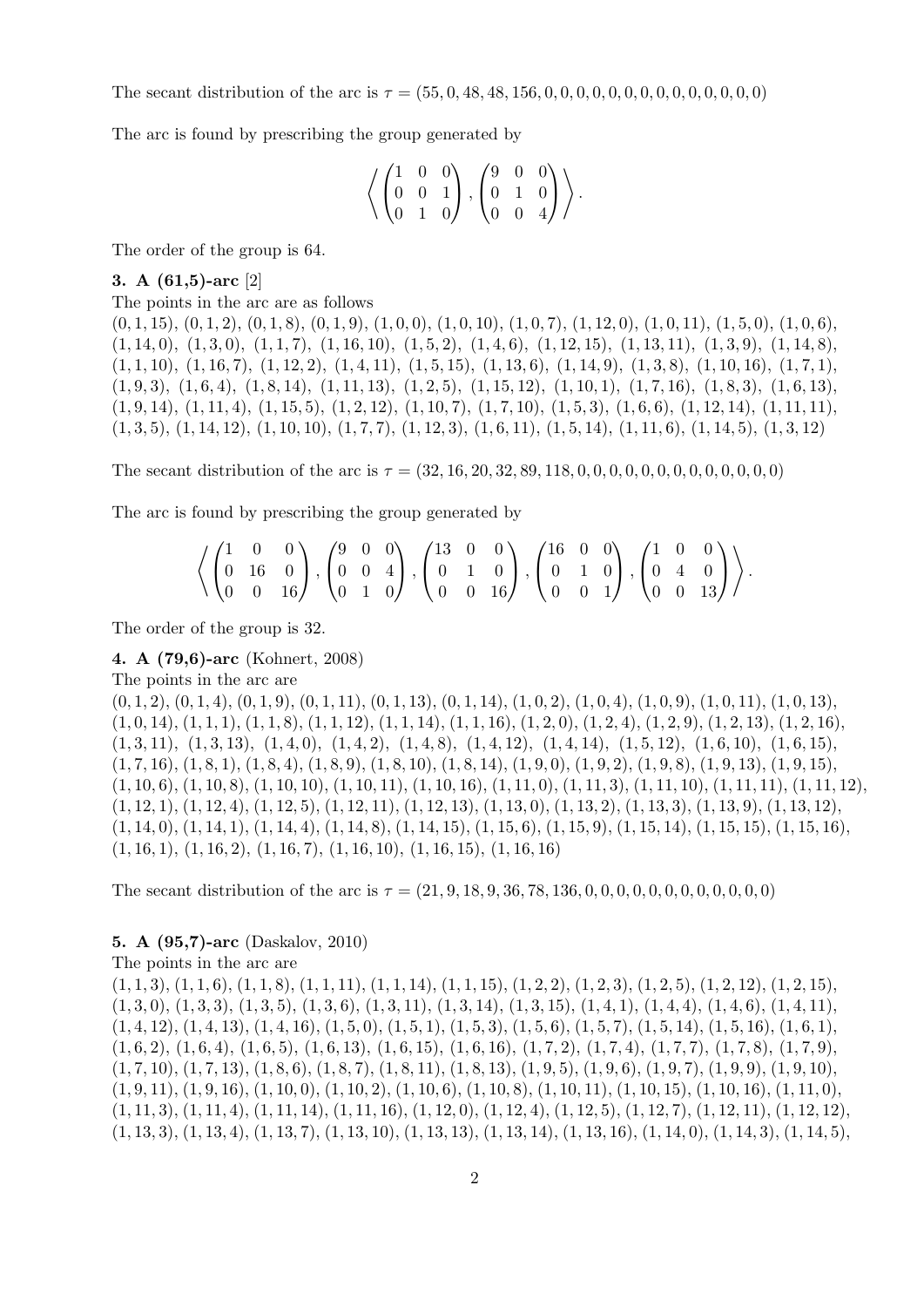The secant distribution of the arc is  $\tau = (55, 0, 48, 48, 156, 0, 0, 0, 0, 0, 0, 0, 0, 0, 0, 0, 0, 0)$ 

The arc is found by prescribing the group generated by

$$
\left\langle \begin{pmatrix} 1 & 0 & 0 \\ 0 & 0 & 1 \\ 0 & 1 & 0 \end{pmatrix}, \begin{pmatrix} 9 & 0 & 0 \\ 0 & 1 & 0 \\ 0 & 0 & 4 \end{pmatrix} \right\rangle.
$$

The order of the group is 64.

3. A (61,5)-arc [2]

The points in the arc are as follows

 $(0, 1, 15), (0, 1, 2), (0, 1, 8), (0, 1, 9), (1, 0, 0), (1, 0, 10), (1, 0, 7), (1, 12, 0), (1, 0, 11), (1, 5, 0), (1, 0, 6),$  $(1, 14, 0), (1, 3, 0), (1, 1, 7), (1, 16, 10), (1, 5, 2), (1, 4, 6), (1, 12, 15), (1, 13, 11), (1, 3, 9), (1, 14, 8),$  $(1, 1, 10), (1, 16, 7), (1, 12, 2), (1, 4, 11), (1, 5, 15), (1, 13, 6), (1, 14, 9), (1, 3, 8), (1, 10, 16), (1, 7, 1),$  $(1, 9, 3), (1, 6, 4), (1, 8, 14), (1, 11, 13), (1, 2, 5), (1, 15, 12), (1, 10, 1), (1, 7, 16), (1, 8, 3), (1, 6, 13),$  $(1, 9, 14), (1, 11, 4), (1, 15, 5), (1, 2, 12), (1, 10, 7), (1, 7, 10), (1, 5, 3), (1, 6, 6), (1, 12, 14), (1, 11, 11),$  $(1, 3, 5), (1, 14, 12), (1, 10, 10), (1, 7, 7), (1, 12, 3), (1, 6, 11), (1, 5, 14), (1, 11, 6), (1, 14, 5), (1, 3, 12)$ 

The secant distribution of the arc is  $\tau = (32, 16, 20, 32, 89, 118, 0, 0, 0, 0, 0, 0, 0, 0, 0, 0, 0)$ 

The arc is found by prescribing the group generated by

|  |  |  |  | $\left\langle \begin{pmatrix} 1 & 0 & 0 \\ 0 & 16 & 0 \\ 0 & 0 & 16 \end{pmatrix}, \begin{pmatrix} 9 & 0 & 0 \\ 0 & 0 & 4 \\ 0 & 1 & 0 \end{pmatrix}, \begin{pmatrix} 13 & 0 & 0 \\ 0 & 1 & 0 \\ 0 & 0 & 16 \end{pmatrix}, \begin{pmatrix} 16 & 0 & 0 \\ 0 & 1 & 0 \\ 0 & 0 & 1 \end{pmatrix}, \begin{pmatrix} 1 & 0 & 0 \\ 0 & 4 & 0 \\ 0 & 0 & 13 \end{pmatrix} \right\rangle.$ |  |  |  |  |  |  |
|--|--|--|--|-----------------------------------------------------------------------------------------------------------------------------------------------------------------------------------------------------------------------------------------------------------------------------------------------------------------------------------------------------------------------------------|--|--|--|--|--|--|

The order of the group is 32.

4. A (79,6)-arc (Kohnert, 2008)

The points in the arc are

 $(0, 1, 2), (0, 1, 4), (0, 1, 9), (0, 1, 11), (0, 1, 13), (0, 1, 14), (1, 0, 2), (1, 0, 4), (1, 0, 9), (1, 0, 11), (1, 0, 13),$  $(1, 0, 14)$ ,  $(1, 1, 1)$ ,  $(1, 1, 8)$ ,  $(1, 1, 12)$ ,  $(1, 1, 14)$ ,  $(1, 1, 16)$ ,  $(1, 2, 0)$ ,  $(1, 2, 4)$ ,  $(1, 2, 9)$ ,  $(1, 2, 13)$ ,  $(1, 2, 16)$ ,  $(1, 3, 11), (1, 3, 13), (1, 4, 0), (1, 4, 2), (1, 4, 8), (1, 4, 12), (1, 4, 14), (1, 5, 12), (1, 6, 10), (1, 6, 15),$  $(1, 7, 16), (1, 8, 1), (1, 8, 4), (1, 8, 9), (1, 8, 10), (1, 8, 14), (1, 9, 0), (1, 9, 2), (1, 9, 8), (1, 9, 13), (1, 9, 15),$  $(1, 10, 6), (1, 10, 8), (1, 10, 10), (1, 10, 11), (1, 10, 16), (1, 11, 0), (1, 11, 3), (1, 11, 10), (1, 11, 11), (1, 11, 12),$  $(1, 12, 1), (1, 12, 4), (1, 12, 5), (1, 12, 11), (1, 12, 13), (1, 13, 0), (1, 13, 2), (1, 13, 3), (1, 13, 9), (1, 13, 12),$  $(1, 14, 0), (1, 14, 1), (1, 14, 4), (1, 14, 8), (1, 14, 15), (1, 15, 6), (1, 15, 9), (1, 15, 14), (1, 15, 15), (1, 15, 16),$  $(1, 16, 1), (1, 16, 2), (1, 16, 7), (1, 16, 10), (1, 16, 15), (1, 16, 16)$ 

The secant distribution of the arc is  $\tau = (21, 9, 18, 9, 36, 78, 136, 0, 0, 0, 0, 0, 0, 0, 0, 0, 0, 0, 0)$ 

## 5. A (95,7)-arc (Daskalov, 2010)

The points in the arc are

 $(1, 1, 3), (1, 1, 6), (1, 1, 8), (1, 1, 11), (1, 1, 14), (1, 1, 15), (1, 2, 2), (1, 2, 3), (1, 2, 5), (1, 2, 12), (1, 2, 15),$  $(1, 3, 0), (1, 3, 3), (1, 3, 5), (1, 3, 6), (1, 3, 11), (1, 3, 14), (1, 3, 15), (1, 4, 1), (1, 4, 4), (1, 4, 6), (1, 4, 11),$  $(1, 4, 12), (1, 4, 13), (1, 4, 16), (1, 5, 0), (1, 5, 1), (1, 5, 3), (1, 5, 6), (1, 5, 7), (1, 5, 14), (1, 5, 16), (1, 6, 1),$  $(1, 6, 2), (1, 6, 4), (1, 6, 5), (1, 6, 13), (1, 6, 15), (1, 6, 16), (1, 7, 2), (1, 7, 4), (1, 7, 7), (1, 7, 8), (1, 7, 9),$  $(1, 7, 10), (1, 7, 13), (1, 8, 6), (1, 8, 7), (1, 8, 11), (1, 8, 13), (1, 9, 5), (1, 9, 6), (1, 9, 7), (1, 9, 9), (1, 9, 10),$  $(1, 9, 11), (1, 9, 16), (1, 10, 0), (1, 10, 2), (1, 10, 6), (1, 10, 8), (1, 10, 11), (1, 10, 15), (1, 10, 16), (1, 11, 0),$  $(1, 11, 3), (1, 11, 4), (1, 11, 14), (1, 11, 16), (1, 12, 0), (1, 12, 4), (1, 12, 5), (1, 12, 7), (1, 12, 11), (1, 12, 12),$  $(1, 13, 3), (1, 13, 4), (1, 13, 7), (1, 13, 10), (1, 13, 13), (1, 13, 14), (1, 13, 16), (1, 14, 0), (1, 14, 3), (1, 14, 5),$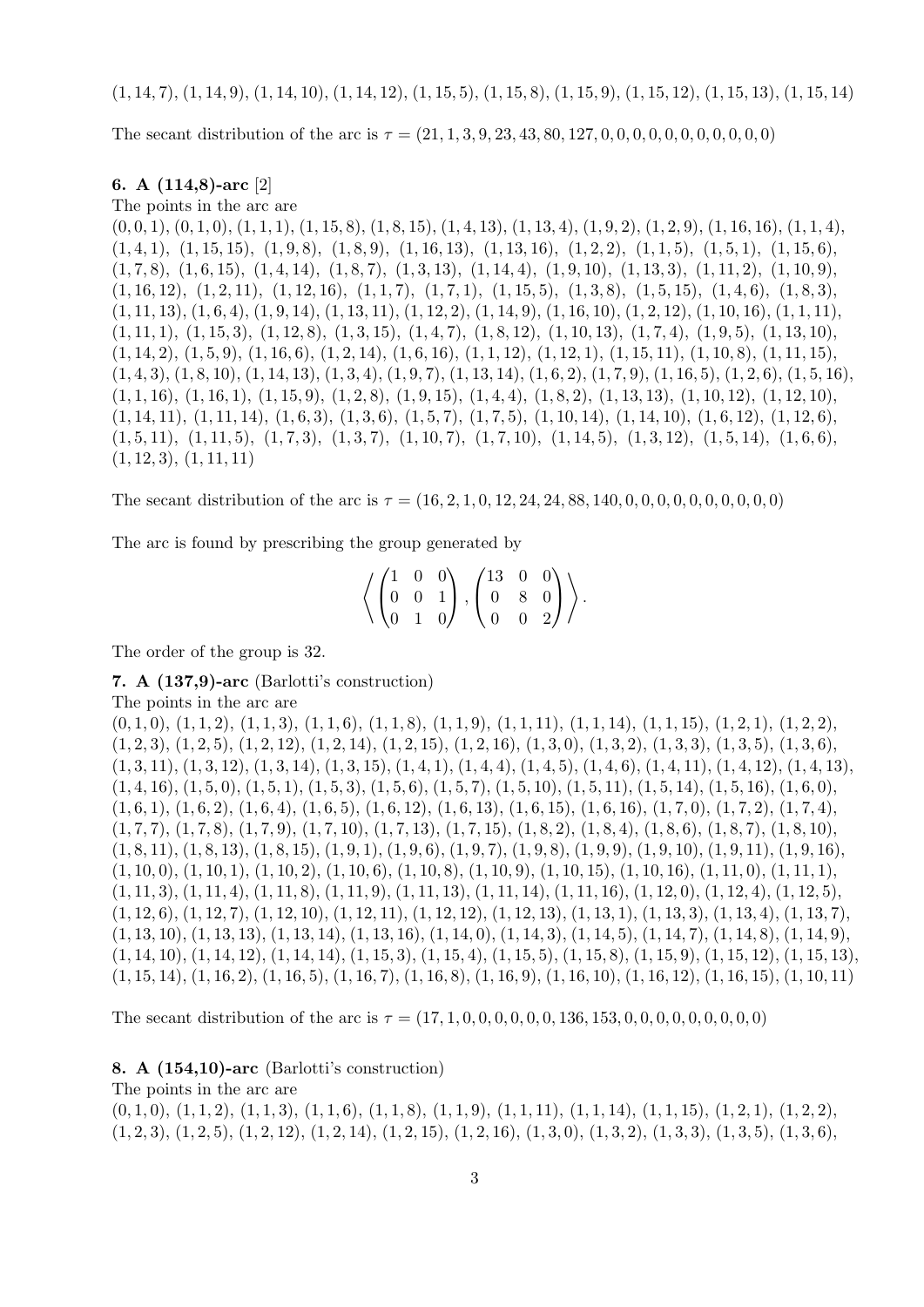The secant distribution of the arc is  $\tau = (21, 1, 3, 9, 23, 43, 80, 127, 0, 0, 0, 0, 0, 0, 0, 0, 0, 0)$ 

#### 6. A (114,8)-arc [2]

The points in the arc are

 $(0, 0, 1), (0, 1, 0), (1, 1, 1), (1, 15, 8), (1, 8, 15), (1, 4, 13), (1, 13, 4), (1, 9, 2), (1, 2, 9), (1, 16, 16), (1, 1, 4),$  $(1, 4, 1), (1, 15, 15), (1, 9, 8), (1, 8, 9), (1, 16, 13), (1, 13, 16), (1, 2, 2), (1, 1, 5), (1, 5, 1), (1, 15, 6),$  $(1, 7, 8), (1, 6, 15), (1, 4, 14), (1, 8, 7), (1, 3, 13), (1, 14, 4), (1, 9, 10), (1, 13, 3), (1, 11, 2), (1, 10, 9),$  $(1, 16, 12), (1, 2, 11), (1, 12, 16), (1, 1, 7), (1, 7, 1), (1, 15, 5), (1, 3, 8), (1, 5, 15), (1, 4, 6), (1, 8, 3),$  $(1, 11, 13), (1, 6, 4), (1, 9, 14), (1, 13, 11), (1, 12, 2), (1, 14, 9), (1, 16, 10), (1, 2, 12), (1, 10, 16), (1, 1, 11),$  $(1, 11, 1), (1, 15, 3), (1, 12, 8), (1, 3, 15), (1, 4, 7), (1, 8, 12), (1, 10, 13), (1, 7, 4), (1, 9, 5), (1, 13, 10),$  $(1, 14, 2), (1, 5, 9), (1, 16, 6), (1, 2, 14), (1, 6, 16), (1, 1, 12), (1, 12, 1), (1, 15, 11), (1, 10, 8), (1, 11, 15),$  $(1, 4, 3), (1, 8, 10), (1, 14, 13), (1, 3, 4), (1, 9, 7), (1, 13, 14), (1, 6, 2), (1, 7, 9), (1, 16, 5), (1, 2, 6), (1, 5, 16),$  $(1, 1, 16), (1, 16, 1), (1, 15, 9), (1, 2, 8), (1, 9, 15), (1, 4, 4), (1, 8, 2), (1, 13, 13), (1, 10, 12), (1, 12, 10),$  $(1, 14, 11), (1, 11, 14), (1, 6, 3), (1, 3, 6), (1, 5, 7), (1, 7, 5), (1, 10, 14), (1, 14, 10), (1, 6, 12), (1, 12, 6),$  $(1, 5, 11), (1, 11, 5), (1, 7, 3), (1, 3, 7), (1, 10, 7), (1, 7, 10), (1, 14, 5), (1, 3, 12), (1, 5, 14), (1, 6, 6),$  $(1, 12, 3), (1, 11, 11)$ 

The secant distribution of the arc is  $\tau = (16, 2, 1, 0, 12, 24, 24, 88, 140, 0, 0, 0, 0, 0, 0, 0, 0, 0)$ 

The arc is found by prescribing the group generated by

$$
\left\langle \left(\begin{matrix} 1 & 0 & 0 \\ 0 & 0 & 1 \\ 0 & 1 & 0 \end{matrix}\right), \left(\begin{matrix} 13 & 0 & 0 \\ 0 & 8 & 0 \\ 0 & 0 & 2 \end{matrix}\right) \right\rangle.
$$

The order of the group is 32.

7. A (137,9)-arc (Barlotti's construction)

The points in the arc are

 $(0, 1, 0), (1, 1, 2), (1, 1, 3), (1, 1, 6), (1, 1, 8), (1, 1, 9), (1, 1, 11), (1, 1, 14), (1, 1, 15), (1, 2, 1), (1, 2, 2),$  $(1, 2, 3), (1, 2, 5), (1, 2, 12), (1, 2, 14), (1, 2, 15), (1, 2, 16), (1, 3, 0), (1, 3, 2), (1, 3, 3), (1, 3, 5), (1, 3, 6),$  $(1, 3, 11), (1, 3, 12), (1, 3, 14), (1, 3, 15), (1, 4, 1), (1, 4, 4), (1, 4, 5), (1, 4, 6), (1, 4, 11), (1, 4, 12), (1, 4, 13),$  $(1, 4, 16), (1, 5, 0), (1, 5, 1), (1, 5, 3), (1, 5, 6), (1, 5, 7), (1, 5, 10), (1, 5, 11), (1, 5, 14), (1, 5, 16), (1, 6, 0),$  $(1, 6, 1), (1, 6, 2), (1, 6, 4), (1, 6, 5), (1, 6, 12), (1, 6, 13), (1, 6, 15), (1, 6, 16), (1, 7, 0), (1, 7, 2), (1, 7, 4),$  $(1, 7, 7), (1, 7, 8), (1, 7, 9), (1, 7, 10), (1, 7, 13), (1, 7, 15), (1, 8, 2), (1, 8, 4), (1, 8, 6), (1, 8, 7), (1, 8, 10),$  $(1, 8, 11), (1, 8, 13), (1, 8, 15), (1, 9, 1), (1, 9, 6), (1, 9, 7), (1, 9, 8), (1, 9, 9), (1, 9, 10), (1, 9, 11), (1, 9, 16),$  $(1, 10, 0), (1, 10, 1), (1, 10, 2), (1, 10, 6), (1, 10, 8), (1, 10, 9), (1, 10, 15), (1, 10, 16), (1, 11, 0), (1, 11, 1),$  $(1, 11, 3), (1, 11, 4), (1, 11, 8), (1, 11, 9), (1, 11, 13), (1, 11, 14), (1, 11, 16), (1, 12, 0), (1, 12, 4), (1, 12, 5),$  $(1, 12, 6), (1, 12, 7), (1, 12, 10), (1, 12, 11), (1, 12, 12), (1, 12, 13), (1, 13, 1), (1, 13, 3), (1, 13, 4), (1, 13, 7),$  $(1, 13, 10), (1, 13, 13), (1, 13, 14), (1, 13, 16), (1, 14, 0), (1, 14, 3), (1, 14, 5), (1, 14, 7), (1, 14, 8), (1, 14, 9),$  $(1, 14, 10), (1, 14, 12), (1, 14, 14), (1, 15, 3), (1, 15, 4), (1, 15, 5), (1, 15, 8), (1, 15, 9), (1, 15, 12), (1, 15, 13),$ (1, 15, 14), (1, 16, 2), (1, 16, 5), (1, 16, 7), (1, 16, 8), (1, 16, 9), (1, 16, 10), (1, 16, 12), (1, 16, 15), (1, 10, 11)

The secant distribution of the arc is  $\tau = (17, 1, 0, 0, 0, 0, 0, 0, 136, 153, 0, 0, 0, 0, 0, 0, 0, 0)$ 

#### 8. A (154,10)-arc (Barlotti's construction)

The points in the arc are  $(0, 1, 0), (1, 1, 2), (1, 1, 3), (1, 1, 6), (1, 1, 8), (1, 1, 9), (1, 1, 11), (1, 1, 14), (1, 1, 15), (1, 2, 1), (1, 2, 2),$  $(1, 2, 3), (1, 2, 5), (1, 2, 12), (1, 2, 14), (1, 2, 15), (1, 2, 16), (1, 3, 0), (1, 3, 2), (1, 3, 3), (1, 3, 5), (1, 3, 6),$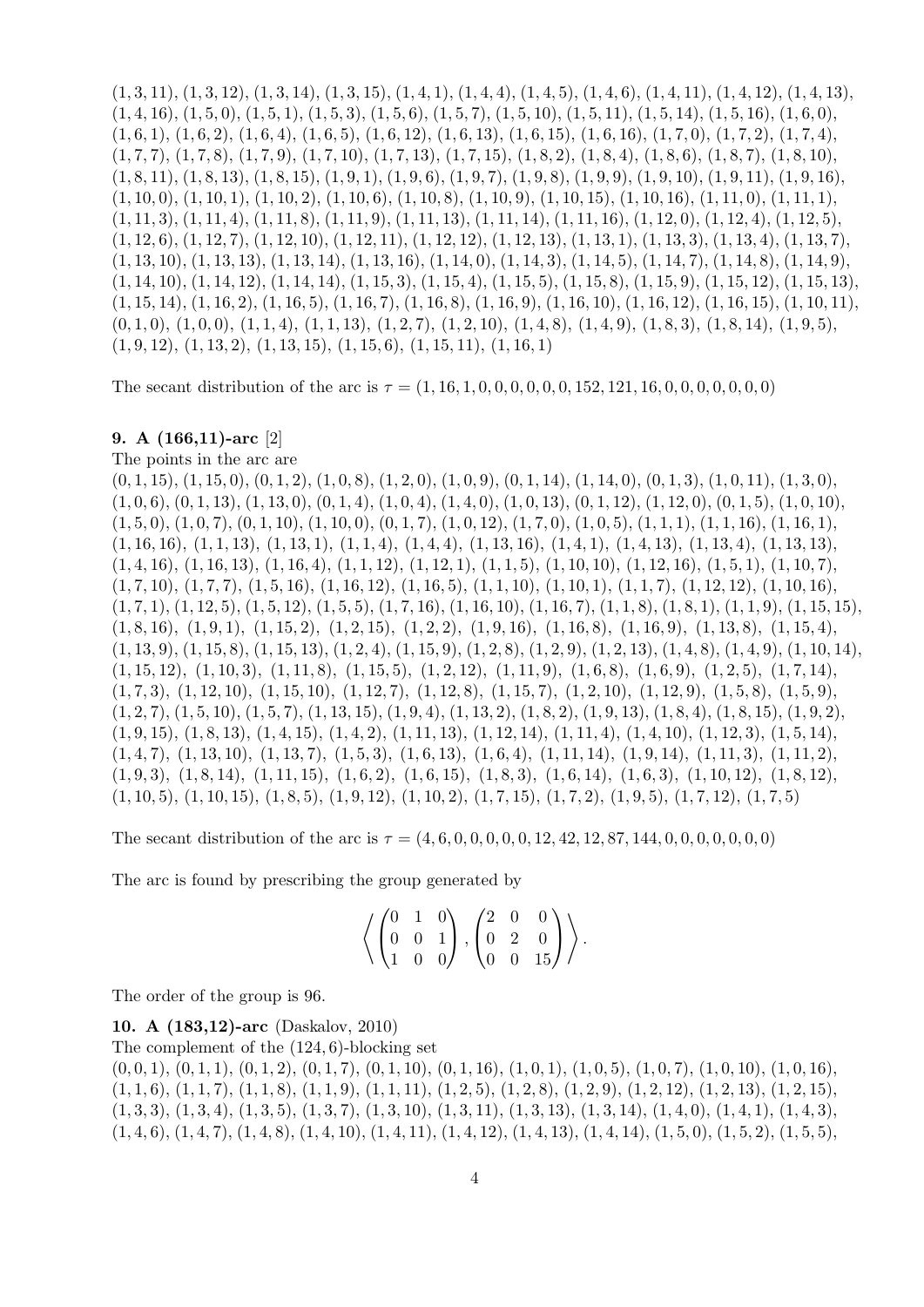$(1, 3, 11), (1, 3, 12), (1, 3, 14), (1, 3, 15), (1, 4, 1), (1, 4, 4), (1, 4, 5), (1, 4, 6), (1, 4, 11), (1, 4, 12), (1, 4, 13),$  $(1, 4, 16), (1, 5, 0), (1, 5, 1), (1, 5, 3), (1, 5, 6), (1, 5, 7), (1, 5, 10), (1, 5, 11), (1, 5, 14), (1, 5, 16), (1, 6, 0),$  $(1, 6, 1), (1, 6, 2), (1, 6, 4), (1, 6, 5), (1, 6, 12), (1, 6, 13), (1, 6, 15), (1, 6, 16), (1, 7, 0), (1, 7, 2), (1, 7, 4),$  $(1, 7, 7), (1, 7, 8), (1, 7, 9), (1, 7, 10), (1, 7, 13), (1, 7, 15), (1, 8, 2), (1, 8, 4), (1, 8, 6), (1, 8, 7), (1, 8, 10),$  $(1, 8, 11), (1, 8, 13), (1, 8, 15), (1, 9, 1), (1, 9, 6), (1, 9, 7), (1, 9, 8), (1, 9, 9), (1, 9, 10), (1, 9, 11), (1, 9, 16),$  $(1, 10, 0), (1, 10, 1), (1, 10, 2), (1, 10, 6), (1, 10, 8), (1, 10, 9), (1, 10, 15), (1, 10, 16), (1, 11, 0), (1, 11, 1),$  $(1, 11, 3), (1, 11, 4), (1, 11, 8), (1, 11, 9), (1, 11, 13), (1, 11, 14), (1, 11, 16), (1, 12, 0), (1, 12, 4), (1, 12, 5),$  $(1, 12, 6), (1, 12, 7), (1, 12, 10), (1, 12, 11), (1, 12, 12), (1, 12, 13), (1, 13, 1), (1, 13, 3), (1, 13, 4), (1, 13, 7),$  $(1, 13, 10), (1, 13, 13), (1, 13, 14), (1, 13, 16), (1, 14, 0), (1, 14, 3), (1, 14, 5), (1, 14, 7), (1, 14, 8), (1, 14, 9),$  $(1, 14, 10), (1, 14, 12), (1, 14, 14), (1, 15, 3), (1, 15, 4), (1, 15, 5), (1, 15, 8), (1, 15, 9), (1, 15, 12), (1, 15, 13),$  $(1, 15, 14), (1, 16, 2), (1, 16, 5), (1, 16, 7), (1, 16, 8), (1, 16, 9), (1, 16, 10), (1, 16, 12), (1, 16, 15), (1, 10, 11),$  $(0, 1, 0), (1, 0, 0), (1, 1, 4), (1, 1, 13), (1, 2, 7), (1, 2, 10), (1, 4, 8), (1, 4, 9), (1, 8, 3), (1, 8, 14), (1, 9, 5),$  $(1, 9, 12), (1, 13, 2), (1, 13, 15), (1, 15, 6), (1, 15, 11), (1, 16, 1)$ 

The secant distribution of the arc is  $\tau = (1, 16, 1, 0, 0, 0, 0, 0, 0, 152, 121, 16, 0, 0, 0, 0, 0, 0)$ 

### 9. A (166,11)-arc [2]

The points in the arc are

 $(0, 1, 15), (1, 15, 0), (0, 1, 2), (1, 0, 8), (1, 2, 0), (1, 0, 9), (0, 1, 14), (1, 14, 0), (0, 1, 3), (1, 0, 11), (1, 3, 0),$  $(1, 0, 6), (0, 1, 13), (1, 13, 0), (0, 1, 4), (1, 0, 4), (1, 4, 0), (1, 0, 13), (0, 1, 12), (1, 12, 0), (0, 1, 5), (1, 0, 10),$  $(1, 5, 0), (1, 0, 7), (0, 1, 10), (1, 10, 0), (0, 1, 7), (1, 0, 12), (1, 7, 0), (1, 0, 5), (1, 1, 1), (1, 1, 16), (1, 16, 1),$  $(1, 16, 16)$ ,  $(1, 1, 13)$ ,  $(1, 13, 1)$ ,  $(1, 1, 4)$ ,  $(1, 4, 4)$ ,  $(1, 13, 16)$ ,  $(1, 4, 1)$ ,  $(1, 4, 13)$ ,  $(1, 13, 4)$ ,  $(1, 13, 13)$ ,  $(1, 4, 16), (1, 16, 13), (1, 16, 4), (1, 1, 12), (1, 12, 1), (1, 1, 5), (1, 10, 10), (1, 12, 16), (1, 5, 1), (1, 10, 7),$  $(1, 7, 10), (1, 7, 7), (1, 5, 16), (1, 16, 12), (1, 16, 5), (1, 1, 10), (1, 10, 1), (1, 1, 7), (1, 12, 12), (1, 10, 16),$  $(1, 7, 1), (1, 12, 5), (1, 5, 12), (1, 5, 5), (1, 7, 16), (1, 16, 10), (1, 16, 7), (1, 1, 8), (1, 8, 1), (1, 1, 9), (1, 15, 15),$  $(1, 8, 16), (1, 9, 1), (1, 15, 2), (1, 2, 15), (1, 2, 2), (1, 9, 16), (1, 16, 8), (1, 16, 9), (1, 13, 8), (1, 15, 4),$  $(1, 13, 9), (1, 15, 8), (1, 15, 13), (1, 2, 4), (1, 15, 9), (1, 2, 8), (1, 2, 9), (1, 2, 13), (1, 4, 8), (1, 4, 9), (1, 10, 14),$  $(1, 15, 12), (1, 10, 3), (1, 11, 8), (1, 15, 5), (1, 2, 12), (1, 11, 9), (1, 6, 8), (1, 6, 9), (1, 2, 5), (1, 7, 14),$  $(1, 7, 3), (1, 12, 10), (1, 15, 10), (1, 12, 7), (1, 12, 8), (1, 15, 7), (1, 2, 10), (1, 12, 9), (1, 5, 8), (1, 5, 9),$  $(1, 2, 7), (1, 5, 10), (1, 5, 7), (1, 13, 15), (1, 9, 4), (1, 13, 2), (1, 8, 2), (1, 9, 13), (1, 8, 4), (1, 8, 15), (1, 9, 2),$  $(1, 9, 15), (1, 8, 13), (1, 4, 15), (1, 4, 2), (1, 11, 13), (1, 12, 14), (1, 11, 4), (1, 4, 10), (1, 12, 3), (1, 5, 14),$  $(1, 4, 7), (1, 13, 10), (1, 13, 7), (1, 5, 3), (1, 6, 13), (1, 6, 4), (1, 11, 14), (1, 9, 14), (1, 11, 3), (1, 11, 2),$  $(1, 9, 3), (1, 8, 14), (1, 11, 15), (1, 6, 2), (1, 6, 15), (1, 8, 3), (1, 6, 14), (1, 6, 3), (1, 10, 12), (1, 8, 12),$  $(1, 10, 5), (1, 10, 15), (1, 8, 5), (1, 9, 12), (1, 10, 2), (1, 7, 15), (1, 7, 2), (1, 9, 5), (1, 7, 12), (1, 7, 5)$ 

The secant distribution of the arc is  $\tau = (4, 6, 0, 0, 0, 0, 0, 12, 42, 12, 87, 144, 0, 0, 0, 0, 0, 0, 0)$ 

The arc is found by prescribing the group generated by

$$
\left\langle \left(\begin{matrix} 0 & 1 & 0 \\ 0 & 0 & 1 \\ 1 & 0 & 0 \end{matrix}\right), \left(\begin{matrix} 2 & 0 & 0 \\ 0 & 2 & 0 \\ 0 & 0 & 15 \end{matrix}\right) \right\rangle.
$$

The order of the group is 96.

10. A (183,12)-arc (Daskalov, 2010)

The complement of the (124, 6)-blocking set

 $(0, 0, 1), (0, 1, 1), (0, 1, 2), (0, 1, 7), (0, 1, 10), (0, 1, 16), (1, 0, 1), (1, 0, 5), (1, 0, 7), (1, 0, 10), (1, 0, 16),$  $(1, 1, 6), (1, 1, 7), (1, 1, 8), (1, 1, 9), (1, 1, 11), (1, 2, 5), (1, 2, 8), (1, 2, 9), (1, 2, 12), (1, 2, 13), (1, 2, 15),$  $(1, 3, 3), (1, 3, 4), (1, 3, 5), (1, 3, 7), (1, 3, 10), (1, 3, 11), (1, 3, 13), (1, 3, 14), (1, 4, 0), (1, 4, 1), (1, 4, 3),$  $(1, 4, 6)$ ,  $(1, 4, 7)$ ,  $(1, 4, 8)$ ,  $(1, 4, 10)$ ,  $(1, 4, 11)$ ,  $(1, 4, 12)$ ,  $(1, 4, 13)$ ,  $(1, 4, 14)$ ,  $(1, 5, 0)$ ,  $(1, 5, 2)$ ,  $(1, 5, 5)$ ,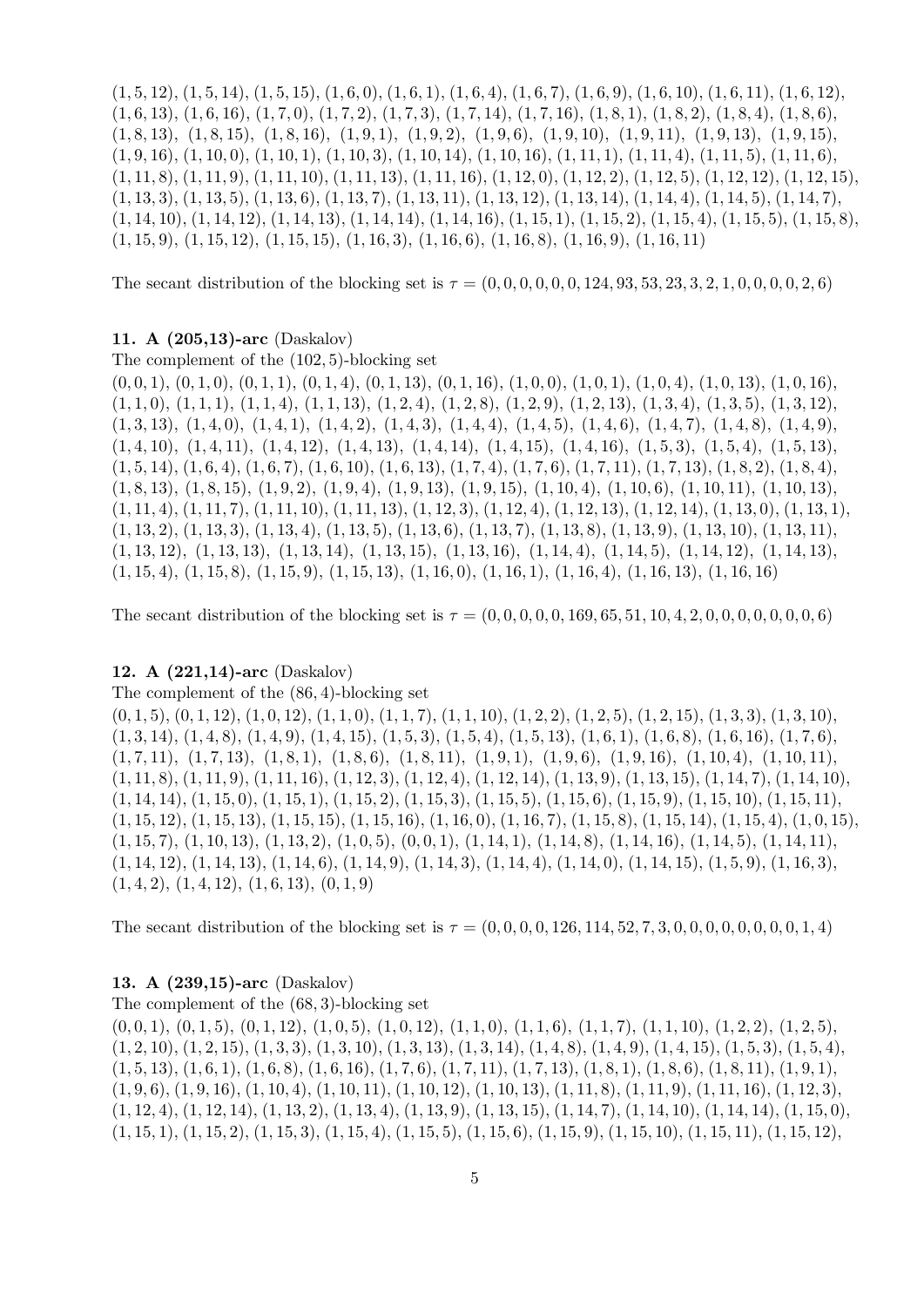$(1, 5, 12), (1, 5, 14), (1, 5, 15), (1, 6, 0), (1, 6, 1), (1, 6, 4), (1, 6, 7), (1, 6, 9), (1, 6, 10), (1, 6, 11), (1, 6, 12),$  $(1, 6, 13), (1, 6, 16), (1, 7, 0), (1, 7, 2), (1, 7, 3), (1, 7, 14), (1, 7, 16), (1, 8, 1), (1, 8, 2), (1, 8, 4), (1, 8, 6),$  $(1, 8, 13), (1, 8, 15), (1, 8, 16), (1, 9, 1), (1, 9, 2), (1, 9, 6), (1, 9, 10), (1, 9, 11), (1, 9, 13), (1, 9, 15),$  $(1, 9, 16), (1, 10, 0), (1, 10, 1), (1, 10, 3), (1, 10, 14), (1, 10, 16), (1, 11, 1), (1, 11, 4), (1, 11, 5), (1, 11, 6),$  $(1, 11, 8), (1, 11, 9), (1, 11, 10), (1, 11, 13), (1, 11, 16), (1, 12, 0), (1, 12, 2), (1, 12, 5), (1, 12, 12), (1, 12, 15),$ (1, 13, 3), (1, 13, 5), (1, 13, 6), (1, 13, 7), (1, 13, 11), (1, 13, 12), (1, 13, 14), (1, 14, 4), (1, 14, 5), (1, 14, 7),  $(1, 14, 10), (1, 14, 12), (1, 14, 13), (1, 14, 14), (1, 14, 16), (1, 15, 1), (1, 15, 2), (1, 15, 4), (1, 15, 5), (1, 15, 8),$  $(1, 15, 9), (1, 15, 12), (1, 15, 15), (1, 16, 3), (1, 16, 6), (1, 16, 8), (1, 16, 9), (1, 16, 11)$ 

The secant distribution of the blocking set is  $\tau = (0, 0, 0, 0, 0, 0, 124, 93, 53, 23, 3, 2, 1, 0, 0, 0, 0, 2, 6)$ 

## 11. A (205,13)-arc (Daskalov)

The complement of the (102, 5)-blocking set

 $(0, 0, 1), (0, 1, 0), (0, 1, 1), (0, 1, 4), (0, 1, 13), (0, 1, 16), (1, 0, 0), (1, 0, 1), (1, 0, 4), (1, 0, 13), (1, 0, 16),$  $(1, 1, 0), (1, 1, 1), (1, 1, 4), (1, 1, 13), (1, 2, 4), (1, 2, 8), (1, 2, 9), (1, 2, 13), (1, 3, 4), (1, 3, 5), (1, 3, 12),$  $(1, 3, 13), (1, 4, 0), (1, 4, 1), (1, 4, 2), (1, 4, 3), (1, 4, 4), (1, 4, 5), (1, 4, 6), (1, 4, 7), (1, 4, 8), (1, 4, 9),$  $(1, 4, 10), (1, 4, 11), (1, 4, 12), (1, 4, 13), (1, 4, 14), (1, 4, 15), (1, 4, 16), (1, 5, 3), (1, 5, 4), (1, 5, 13),$  $(1, 5, 14), (1, 6, 4), (1, 6, 7), (1, 6, 10), (1, 6, 13), (1, 7, 4), (1, 7, 6), (1, 7, 11), (1, 7, 13), (1, 8, 2), (1, 8, 4),$  $(1, 8, 13), (1, 8, 15), (1, 9, 2), (1, 9, 4), (1, 9, 13), (1, 9, 15), (1, 10, 4), (1, 10, 6), (1, 10, 11), (1, 10, 13),$  $(1, 11, 4), (1, 11, 7), (1, 11, 10), (1, 11, 13), (1, 12, 3), (1, 12, 4), (1, 12, 13), (1, 12, 14), (1, 13, 0), (1, 13, 1),$  $(1, 13, 2), (1, 13, 3), (1, 13, 4), (1, 13, 5), (1, 13, 6), (1, 13, 7), (1, 13, 8), (1, 13, 9), (1, 13, 10), (1, 13, 11),$  $(1, 13, 12), (1, 13, 13), (1, 13, 14), (1, 13, 15), (1, 13, 16), (1, 14, 4), (1, 14, 5), (1, 14, 12), (1, 14, 13),$  $(1, 15, 4), (1, 15, 8), (1, 15, 9), (1, 15, 13), (1, 16, 0), (1, 16, 1), (1, 16, 4), (1, 16, 13), (1, 16, 16)$ 

The secant distribution of the blocking set is  $\tau = (0, 0, 0, 0, 0, 0, 169, 65, 51, 10, 4, 2, 0, 0, 0, 0, 0, 0, 6)$ 

#### 12. A (221,14)-arc (Daskalov)

The complement of the (86, 4)-blocking set

 $(0, 1, 5), (0, 1, 12), (1, 0, 12), (1, 1, 0), (1, 1, 7), (1, 1, 10), (1, 2, 2), (1, 2, 5), (1, 2, 15), (1, 3, 3), (1, 3, 10),$  $(1, 3, 14)$ ,  $(1, 4, 8)$ ,  $(1, 4, 9)$ ,  $(1, 4, 15)$ ,  $(1, 5, 3)$ ,  $(1, 5, 4)$ ,  $(1, 5, 13)$ ,  $(1, 6, 1)$ ,  $(1, 6, 8)$ ,  $(1, 6, 16)$ ,  $(1, 7, 6)$ ,  $(1, 7, 11), (1, 7, 13), (1, 8, 1), (1, 8, 6), (1, 8, 11), (1, 9, 1), (1, 9, 6), (1, 9, 16), (1, 10, 4), (1, 10, 11),$  $(1, 11, 8), (1, 11, 9), (1, 11, 16), (1, 12, 3), (1, 12, 4), (1, 12, 14), (1, 13, 9), (1, 13, 15), (1, 14, 7), (1, 14, 10),$  $(1, 14, 14), (1, 15, 0), (1, 15, 1), (1, 15, 2), (1, 15, 3), (1, 15, 5), (1, 15, 6), (1, 15, 9), (1, 15, 10), (1, 15, 11),$  $(1, 15, 12), (1, 15, 13), (1, 15, 15), (1, 15, 16), (1, 16, 0), (1, 16, 7), (1, 15, 8), (1, 15, 14), (1, 15, 4), (1, 0, 15),$  $(1, 15, 7), (1, 10, 13), (1, 13, 2), (1, 0, 5), (0, 0, 1), (1, 14, 1), (1, 14, 8), (1, 14, 16), (1, 14, 5), (1, 14, 11),$  $(1, 14, 12), (1, 14, 13), (1, 14, 6), (1, 14, 9), (1, 14, 3), (1, 14, 4), (1, 14, 0), (1, 14, 15), (1, 5, 9), (1, 16, 3),$  $(1, 4, 2), (1, 4, 12), (1, 6, 13), (0, 1, 9)$ 

The secant distribution of the blocking set is  $\tau = (0, 0, 0, 0, 126, 114, 52, 7, 3, 0, 0, 0, 0, 0, 0, 0, 1, 4)$ 

## 13. A (239,15)-arc (Daskalov)

The complement of the (68, 3)-blocking set  $(0, 0, 1), (0, 1, 5), (0, 1, 12), (1, 0, 5), (1, 0, 12), (1, 1, 0), (1, 1, 6), (1, 1, 7), (1, 1, 10), (1, 2, 2), (1, 2, 5),$  $(1, 2, 10), (1, 2, 15), (1, 3, 3), (1, 3, 10), (1, 3, 13), (1, 3, 14), (1, 4, 8), (1, 4, 9), (1, 4, 15), (1, 5, 3), (1, 5, 4),$  $(1, 5, 13), (1, 6, 1), (1, 6, 8), (1, 6, 16), (1, 7, 6), (1, 7, 11), (1, 7, 13), (1, 8, 1), (1, 8, 6), (1, 8, 11), (1, 9, 1),$  $(1, 9, 6), (1, 9, 16), (1, 10, 4), (1, 10, 11), (1, 10, 12), (1, 10, 13), (1, 11, 8), (1, 11, 9), (1, 11, 16), (1, 12, 3),$  $(1, 12, 4), (1, 12, 14), (1, 13, 2), (1, 13, 4), (1, 13, 9), (1, 13, 15), (1, 14, 7), (1, 14, 10), (1, 14, 14), (1, 15, 0),$  $(1, 15, 1), (1, 15, 2), (1, 15, 3), (1, 15, 4), (1, 15, 5), (1, 15, 6), (1, 15, 9), (1, 15, 10), (1, 15, 11), (1, 15, 12),$